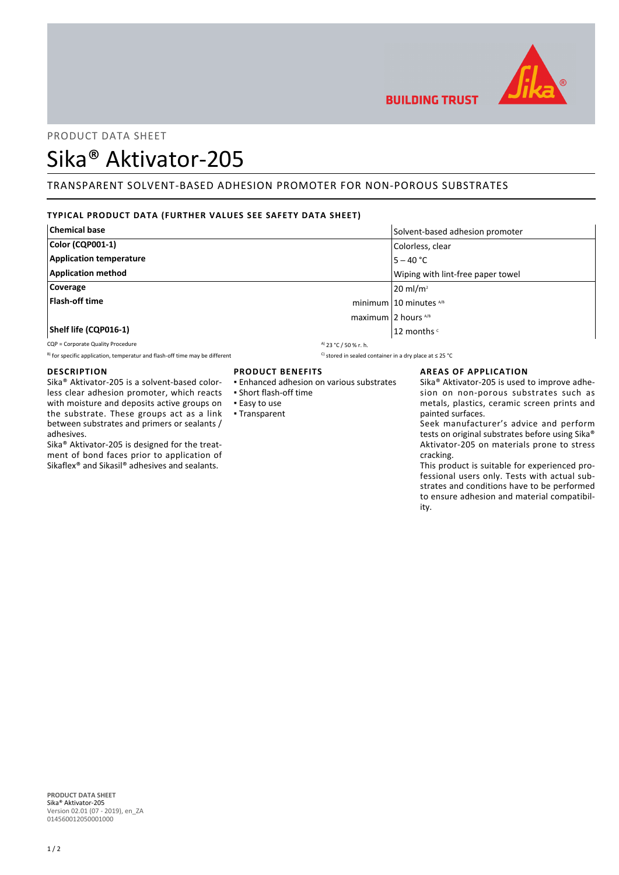

# PRODUCT DATA SHEET

# Sika® Aktivator-205

# TRANSPARENT SOLVENT-BASED ADHESION PROMOTER FOR NON-POROUS SUBSTRATES

## **TYPICAL PRODUCT DATA (FURTHER VALUES SEE SAFETY DATA SHEET)**

| <b>Chemical base</b>           | Solvent-based adhesion promoter   |
|--------------------------------|-----------------------------------|
| Color (CQP001-1)               | Colorless, clear                  |
| <b>Application temperature</b> | $5 - 40 °C$                       |
| <b>Application method</b>      | Wiping with lint-free paper towel |
| Coverage                       | $20 \text{ ml/m}^2$               |
| Flash-off time                 | minimum $10$ minutes $^{1/8}$     |
| maximum 2 hours $4/8$          |                                   |
| Shelf life (CQP016-1)          | 12 months $c$                     |

CQP = Corporate Quality Procedure  $\frac{a_1}{2}$  23 °C / 50 % r. h.

B) for specific application, temperatur and flash-off time may be different C) stored in sealed container in a dry place at ≤ 25 °C

## **DESCRIPTION**

Sika® Aktivator-205 is a solvent-based colorless clear adhesion promoter, which reacts with moisture and deposits active groups on the substrate. These groups act as a link between substrates and primers or sealants / adhesives.

Sika® Aktivator-205 is designed for the treatment of bond faces prior to application of Sikaflex® and Sikasil® adhesives and sealants.

## **PRODUCT BENEFITS**

- Enhanced adhesion on various substrates
- Short flash-off time
- Easy to use
- Transparent
- 

## **AREAS OF APPLICATION**

Sika® Aktivator-205 is used to improve adhesion on non-porous substrates such as metals, plastics, ceramic screen prints and painted surfaces.

Seek manufacturer's advice and perform tests on original substrates before using Sika® Aktivator-205 on materials prone to stress cracking.

This product is suitable for experienced professional users only. Tests with actual substrates and conditions have to be performed to ensure adhesion and material compatibility.

**PRODUCT DATA SHEET** Sika® Aktivator-205 Version 02.01 (07 - 2019), en\_ZA 014560012050001000